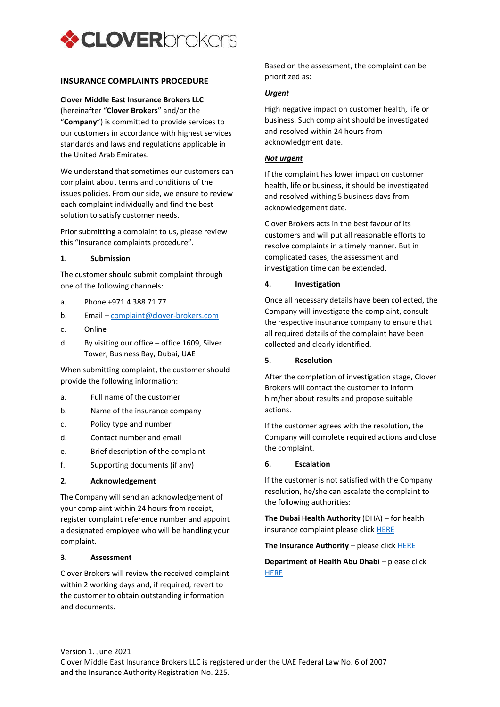

# **INSURANCE COMPLAINTS PROCEDURE**

## **Clover Middle East Insurance Brokers LLC**

(hereinafter "**Clover Brokers**" and/or the "**Company**") is committed to provide services to our customers in accordance with highest services standards and laws and regulations applicable in the United Arab Emirates.

We understand that sometimes our customers can complaint about terms and conditions of the issues policies. From our side, we ensure to review each complaint individually and find the best solution to satisfy customer needs.

Prior submitting a complaint to us, please review this "Insurance complaints procedure".

## **1. Submission**

The customer should submit complaint through one of the following channels:

- a. Phone +971 4 388 71 77
- b. Email [complaint@clover-brokers.com](mailto:complaint@clover-brokers.com)
- c. Online
- d. By visiting our office office 1609, Silver Tower, Business Bay, Dubai, UAE

When submitting complaint, the customer should provide the following information:

- a. Full name of the customer
- b. Name of the insurance company
- c. Policy type and number
- d. Contact number and email
- e. Brief description of the complaint
- f. Supporting documents (if any)

#### **2. Acknowledgement**

The Company will send an acknowledgement of your complaint within 24 hours from receipt, register complaint reference number and appoint a designated employee who will be handling your complaint.

#### **3. Assessment**

Clover Brokers will review the received complaint within 2 working days and, if required, revert to the customer to obtain outstanding information and documents.

Based on the assessment, the complaint can be prioritized as:

## *Urgent*

High negative impact on customer health, life or business. Such complaint should be investigated and resolved within 24 hours from acknowledgment date.

## *Not urgent*

If the complaint has lower impact on customer health, life or business, it should be investigated and resolved withing 5 business days from acknowledgement date.

Clover Brokers acts in the best favour of its customers and will put all reasonable efforts to resolve complaints in a timely manner. But in complicated cases, the assessment and investigation time can be extended.

## **4. Investigation**

Once all necessary details have been collected, the Company will investigate the complaint, consult the respective insurance company to ensure that all required details of the complaint have been collected and clearly identified.

#### **5. Resolution**

After the completion of investigation stage, Clover Brokers will contact the customer to inform him/her about results and propose suitable actions.

If the customer agrees with the resolution, the Company will complete required actions and close the complaint.

## **6. Escalation**

If the customer is not satisfied with the Company resolution, he/she can escalate the complaint to the following authorities:

**The Dubai Health Authority** (DHA) – for health insurance complaint please clic[k HERE](http://ipromes.eclaimlink.ae/)

**The Insurance Authority** – please clic[k HERE](https://smartservices.ia.gov.ae/EComplaint/SubmitNewDispute?lang=en)

**Department of Health Abu Dhabi** – please click **[HERE](https://www.doh.gov.ae/en/Request-For-Submitting-Health-Insurance-Complaint)**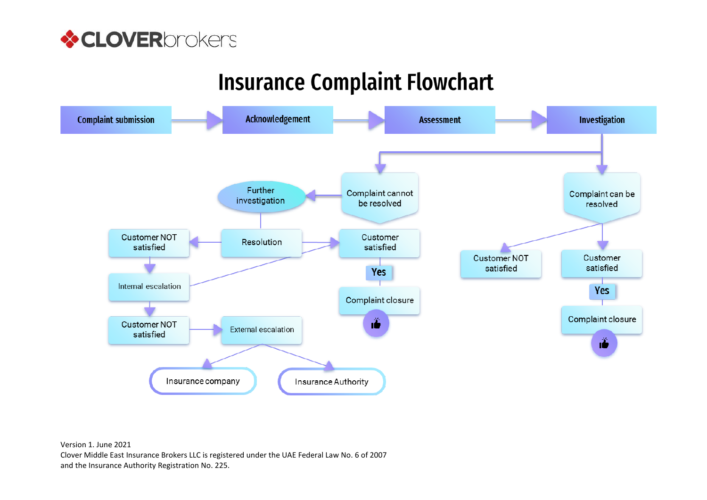

# **Insurance Complaint Flowchart**